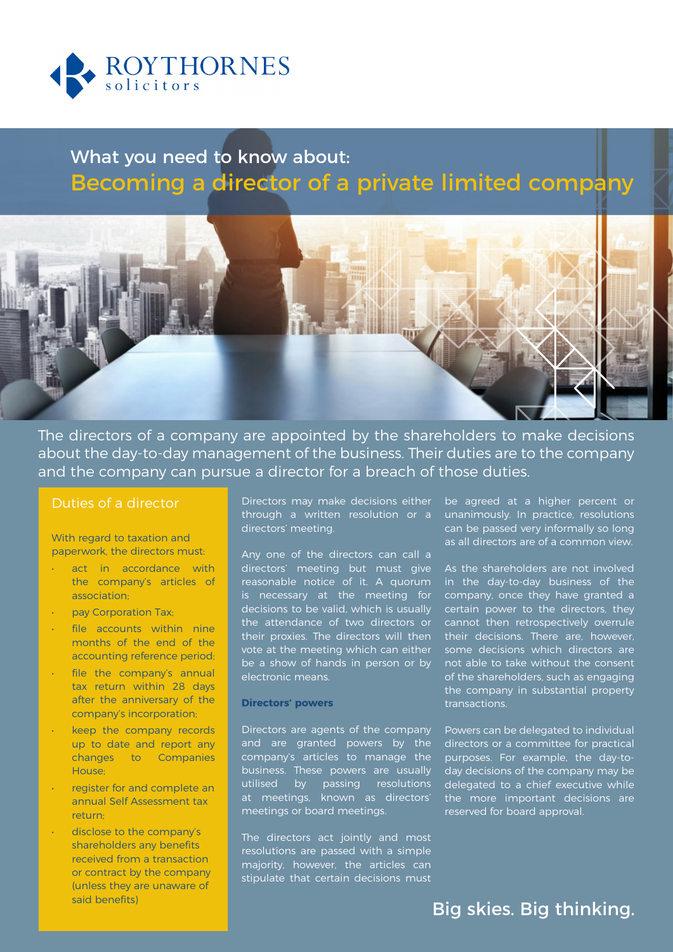

# What you need to know about: Becoming a director of a private limited company



The directors of a company are appointed by the shareholders to make decisions about the day-to-day management of the business. Their duties are to the company and the company can pursue a director for a breach of those duties.

### Duties of a director

With regard to taxation and paperwork, the directors must:

- act in accordance with the company's articles of association;
- pay Corporation Tax;
- file accounts within nine months of the end of the accounting reference period;
- file the company's annual tax return within 28 days after the anniversary of the company's incorporation;
- keep the company records up to date and report any changes to Companies House;
- register for and complete an annual Self Assessment tax return;
- disclose to the company's shareholders any benefits received from a transaction or contract by the company (unless they are unaware of said benefits)

**A Directors' Meeting** 

Directors may make decisions either through a written resolution or a directors' meeting.

Any one of the directors can call a directors' meeting but must give reasonable notice of it. A quorum is necessary at the meeting for decisions to be valid, which is usually the attendance of two directors or their proxies. The directors will then vote at the meeting which can either be a show of hands in person or by electronic means.

#### **Directors' powers**

Directors are agents of the company and are granted powers by the company's articles to manage the business. These powers are usually utilised by passing resolutions at meetings, known as directors' meetings or board meetings.

The directors act jointly and most resolutions are passed with a simple majority, however, the articles can stipulate that certain decisions must be agreed at a higher percent or unanimously. In practice, resolutions can be passed very informally so long as all directors are of a common view.

As the shareholders are not involved in the day-to-day business of the company, once they have granted a certain power to the directors, they cannot then retrospectively overrule their decisions. There are, however, some decisions which directors are not able to take without the consent of the shareholders, such as engaging the company in substantial property transactions.

Powers can be delegated to individual directors or a committee for practical purposes. For example, the day-today decisions of the company may be delegated to a chief executive while the more important decisions are reserved for board approval.

### Big skies. Big thinking.